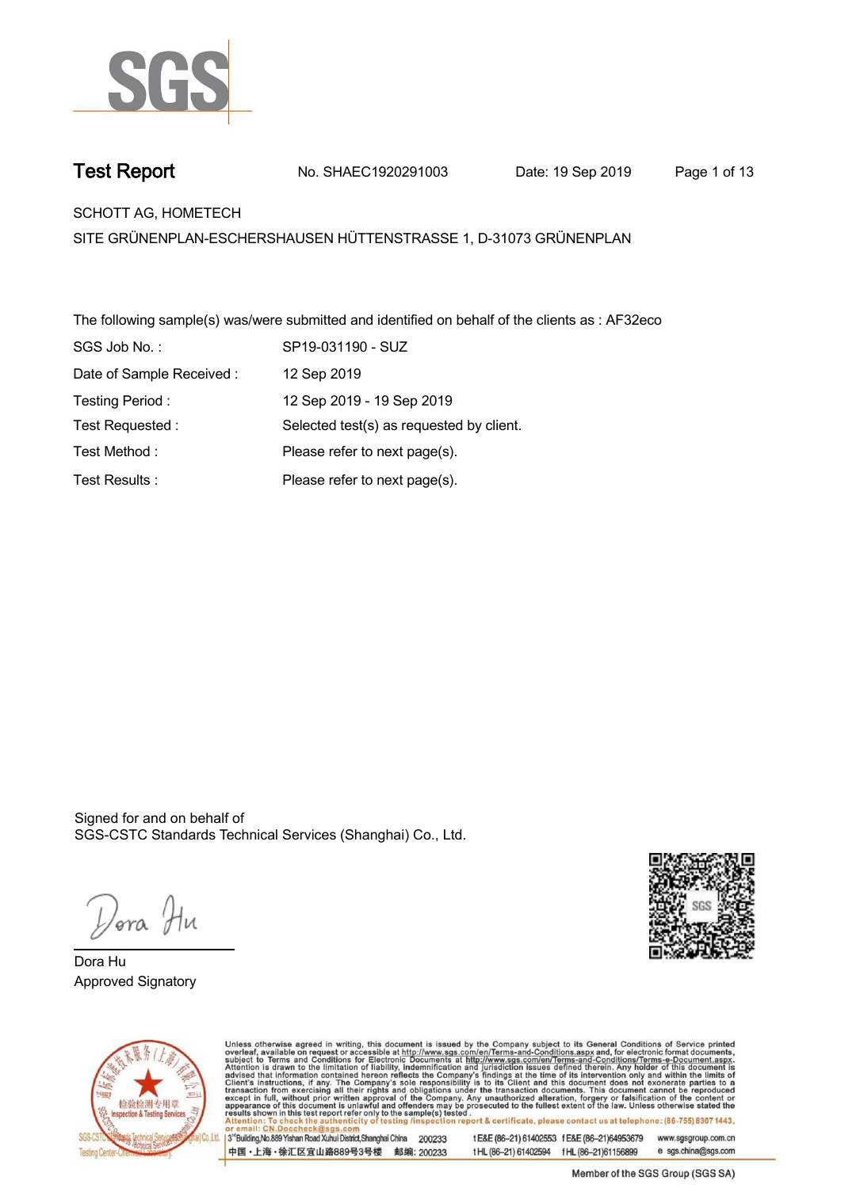

**Test Report. No. SHAEC1920291003 Date: 19 Sep 2019. Page 1 of 13.**

**SCHOTT AG, HOMETECH .**

**SITE GRÜNENPLAN-ESCHERSHAUSEN HÜTTENSTRASSE 1, D-31073 GRÜNENPLAN**

**The following sample(s) was/were submitted and identified on behalf of the clients as : AF32eco . SGS Job No. : SP19-031190 - SUZ. Date of Sample Received : . 12 Sep 2019. Testing Period :. 12 Sep 2019 - 19 Sep 2019 . Test Requested :. Selected test(s) as requested by client. . Please refer to next page(s). . Please refer to next page(s). . Test Method :. Test Results :.**

Signed for and on behalf of SGS-CSTC Standards Technical Services (Shanghai) Co., Ltd..

*Dor*a Hu

**Dora Hu. Approved Signatory .**





Unless otherwise agreed in writing, this document is issued by the Company subject to its General Conditions of Service printed<br>overleaf, available on request or accessible at http://www.sgs.com/en/Terms-and-Conditions.asp ion report & certificate, please contact us at telephone: (86-755) 8307 1443, testing /ins t E&E (86-21) 61402553 f E&E (86-21)64953679 3<sup>rd</sup>Building, No.889 Yishan Road Xuhui District, Shanghai China 200233 www.sgsgroup.com.cn

中国·上海·徐汇区宜山路889号3号楼 邮编: 200233

t HL (86-21) 61402594 f HL (86-21) 61156899 e sgs.china@sgs.com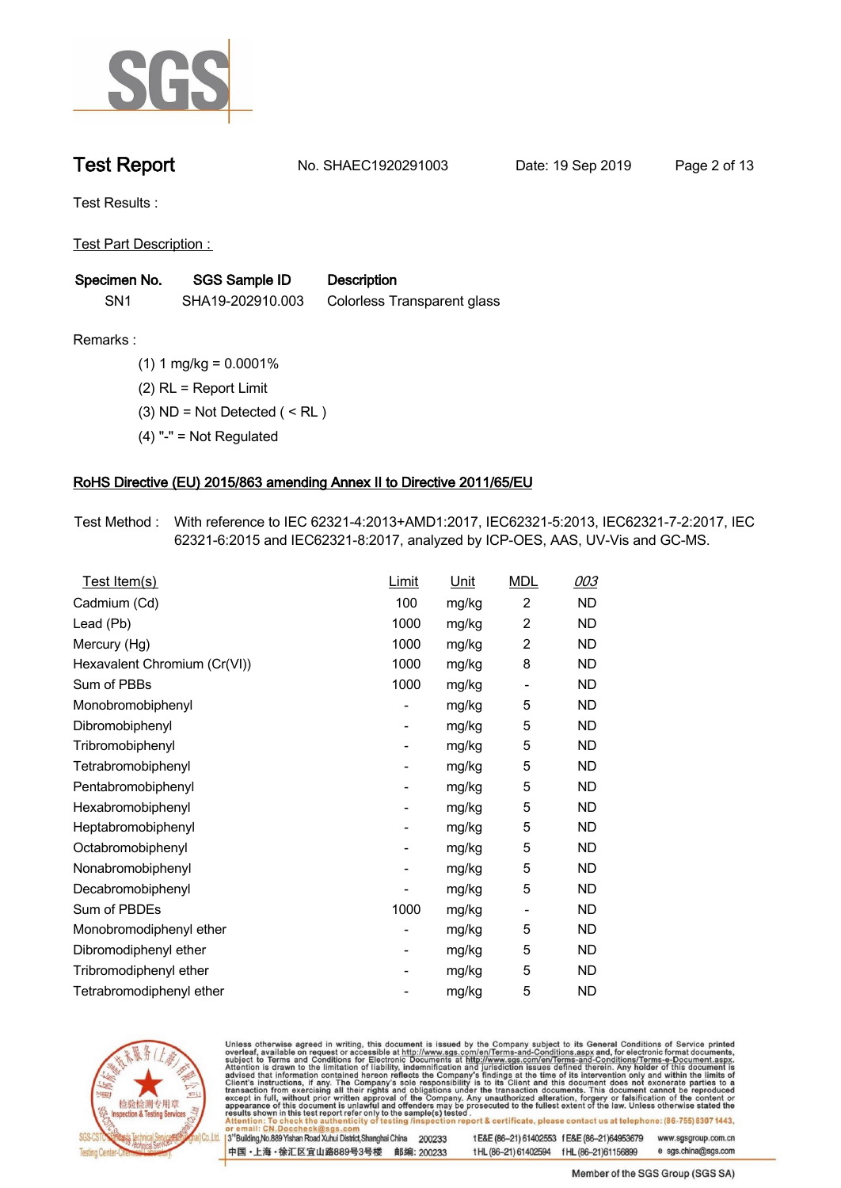

**Test Report. No. SHAEC1920291003 Date: 19 Sep 2019. Page 2 of 13.**

**Test Results :.**

**Test Part Description : .**

| Specimen No.    | <b>SGS Sample ID</b> | <b>Description</b>          |  |
|-----------------|----------------------|-----------------------------|--|
| SN <sub>1</sub> | SHA19-202910.003     | Colorless Transparent glass |  |

- **Remarks :.(1) 1 mg/kg = 0.0001% . (2) RL = Report Limit . (3) ND = Not Detected ( < RL ) .**
	- **(4) "-" = Not Regulated .**

### **RoHS Directive (EU) 2015/863 amending Annex II to Directive 2011/65/EU.**

**Test Method :. With reference to IEC 62321-4:2013+AMD1:2017, IEC62321-5:2013, IEC62321-7-2:2017, IEC 62321-6:2015 and IEC62321-8:2017, analyzed by ICP-OES, AAS, UV-Vis and GC-MS. .**

| <u>Test Item(s)</u>          | <u>Limit</u>             | <u>Unit</u> | <b>MDL</b>               | 003       |
|------------------------------|--------------------------|-------------|--------------------------|-----------|
| Cadmium (Cd)                 | 100                      | mg/kg       | $\overline{c}$           | <b>ND</b> |
| Lead (Pb)                    | 1000                     | mg/kg       | 2                        | <b>ND</b> |
| Mercury (Hg)                 | 1000                     | mg/kg       | 2                        | ND        |
| Hexavalent Chromium (Cr(VI)) | 1000                     | mg/kg       | 8                        | ND        |
| Sum of PBBs                  | 1000                     | mg/kg       | $\overline{\phantom{a}}$ | <b>ND</b> |
| Monobromobiphenyl            | -                        | mg/kg       | 5                        | <b>ND</b> |
| Dibromobiphenyl              | $\overline{\phantom{0}}$ | mg/kg       | 5                        | <b>ND</b> |
| Tribromobiphenyl             | $\overline{\phantom{0}}$ | mg/kg       | 5                        | <b>ND</b> |
| Tetrabromobiphenyl           | -                        | mg/kg       | 5                        | ND        |
| Pentabromobiphenyl           | $\overline{\phantom{0}}$ | mg/kg       | 5                        | ND        |
| Hexabromobiphenyl            | -                        | mg/kg       | 5                        | ND        |
| Heptabromobiphenyl           | $\overline{\phantom{a}}$ | mg/kg       | 5                        | <b>ND</b> |
| Octabromobiphenyl            | -                        | mg/kg       | 5                        | <b>ND</b> |
| Nonabromobiphenyl            | -                        | mg/kg       | 5                        | ND        |
| Decabromobiphenyl            | $\overline{a}$           | mg/kg       | 5                        | <b>ND</b> |
| Sum of PBDEs                 | 1000                     | mg/kg       | $\overline{\phantom{a}}$ | <b>ND</b> |
| Monobromodiphenyl ether      | -                        | mg/kg       | 5                        | ND        |
| Dibromodiphenyl ether        | ۰                        | mg/kg       | 5                        | <b>ND</b> |
| Tribromodiphenyl ether       | -                        | mg/kg       | 5                        | ND        |
| Tetrabromodiphenyl ether     |                          | mg/kg       | 5                        | <b>ND</b> |



Unless otherwise agreed in writing, this document is issued by the Company subject to its General Conditions of Service printed overleaf, available on request or accessible at http://www.sgs.com/en/Terms-and-Conditions.asp

3<sup>rd</sup>Building, No.889 Yishan Road Xuhui District, Shanghai China 200233 中国·上海·徐汇区宜山路889号3号楼 邮编: 200233 t E&E (86-21) 61402553 f E&E (86-21)64953679 www.sgsgroup.com.cn

t HL (86-21) 61402594 f HL (86-21) 61156899 e sgs.china@sgs.com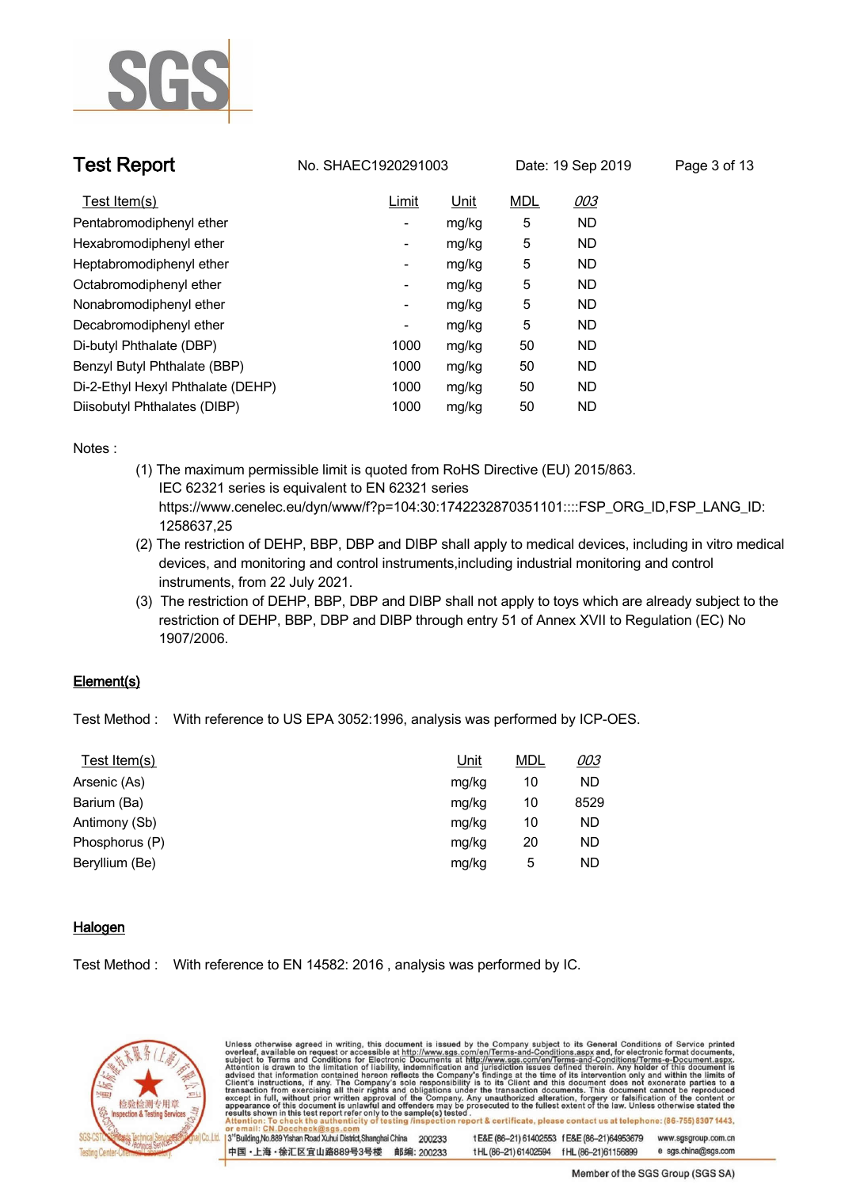

| <b>Test Report</b>                | No. SHAEC1920291003      |             | Date: 19 Sep 2019 |            | Page 3 of 13 |  |
|-----------------------------------|--------------------------|-------------|-------------------|------------|--------------|--|
| Test Item(s)                      | Limit                    | <u>Unit</u> | <b>MDL</b>        | <u>003</u> |              |  |
| Pentabromodiphenyl ether          | $\overline{\phantom{0}}$ | mg/kg       | 5                 | ND         |              |  |
| Hexabromodiphenyl ether           | -                        | mg/kg       | 5                 | ND         |              |  |
| Heptabromodiphenyl ether          | -                        | mg/kg       | 5                 | ND         |              |  |
| Octabromodiphenyl ether           | -                        | mg/kg       | 5                 | <b>ND</b>  |              |  |
| Nonabromodiphenyl ether           | $\overline{\phantom{a}}$ | mg/kg       | 5                 | <b>ND</b>  |              |  |
| Decabromodiphenyl ether           | $\overline{\phantom{0}}$ | mg/kg       | 5                 | <b>ND</b>  |              |  |
| Di-butyl Phthalate (DBP)          | 1000                     | mg/kg       | 50                | <b>ND</b>  |              |  |
| Benzyl Butyl Phthalate (BBP)      | 1000                     | mg/kg       | 50                | <b>ND</b>  |              |  |
| Di-2-Ethyl Hexyl Phthalate (DEHP) | 1000                     | mg/kg       | 50                | <b>ND</b>  |              |  |
| Diisobutyl Phthalates (DIBP)      | 1000                     | mg/kg       | 50                | <b>ND</b>  |              |  |

**Notes :.**

- **(1) The maximum permissible limit is quoted from RoHS Directive (EU) 2015/863. IEC 62321 series is equivalent to EN 62321 series https://www.cenelec.eu/dyn/www/f?p=104:30:1742232870351101::::FSP\_ORG\_ID,FSP\_LANG\_ID: 1258637,25**
- **(2) The restriction of DEHP, BBP, DBP and DIBP shall apply to medical devices, including in vitro medical devices, and monitoring and control instruments,including industrial monitoring and control instruments, from 22 July 2021.**
- **(3) The restriction of DEHP, BBP, DBP and DIBP shall not apply to toys which are already subject to the restriction of DEHP, BBP, DBP and DIBP through entry 51 of Annex XVII to Regulation (EC) No 1907/2006..**

### **Element(s).**

**Test Method :. With reference to US EPA 3052:1996, analysis was performed by ICP-OES. .**

| Unit  | <b>MDL</b> | 003       |
|-------|------------|-----------|
| mg/kg | 10         | <b>ND</b> |
| mg/kg | 10         | 8529      |
| mg/kg | 10         | ND        |
| mg/kg | 20         | <b>ND</b> |
| mg/kg | 5          | <b>ND</b> |
|       |            |           |

### **Halogen.**

**Test Method :. With reference to EN 14582: 2016 , analysis was performed by IC. .**

中国·上海·徐汇区宜山路889号3号楼 邮编: 200233



Unless otherwise agreed in writing, this document is issued by the Company subject to its General Conditions of Service printed<br>overleaf, available on request or accessible at http://www.sgs.com/en/Terms-and-Conditions.asp ion report & certificate, please contact us at telephone: (86-755) 8307 1443, esting /ins 13<sup>rd</sup> Building, No.889 Yishan Road Xuhui District, Shanghai China 200233 t E&E (86-21) 61402553 f E&E (86-21)64953679 www.sgsgroup.com.cn

t HL (86-21) 61402594 f HL (86-21) 61156899

Member of the SGS Group (SGS SA)

e sgs.china@sgs.com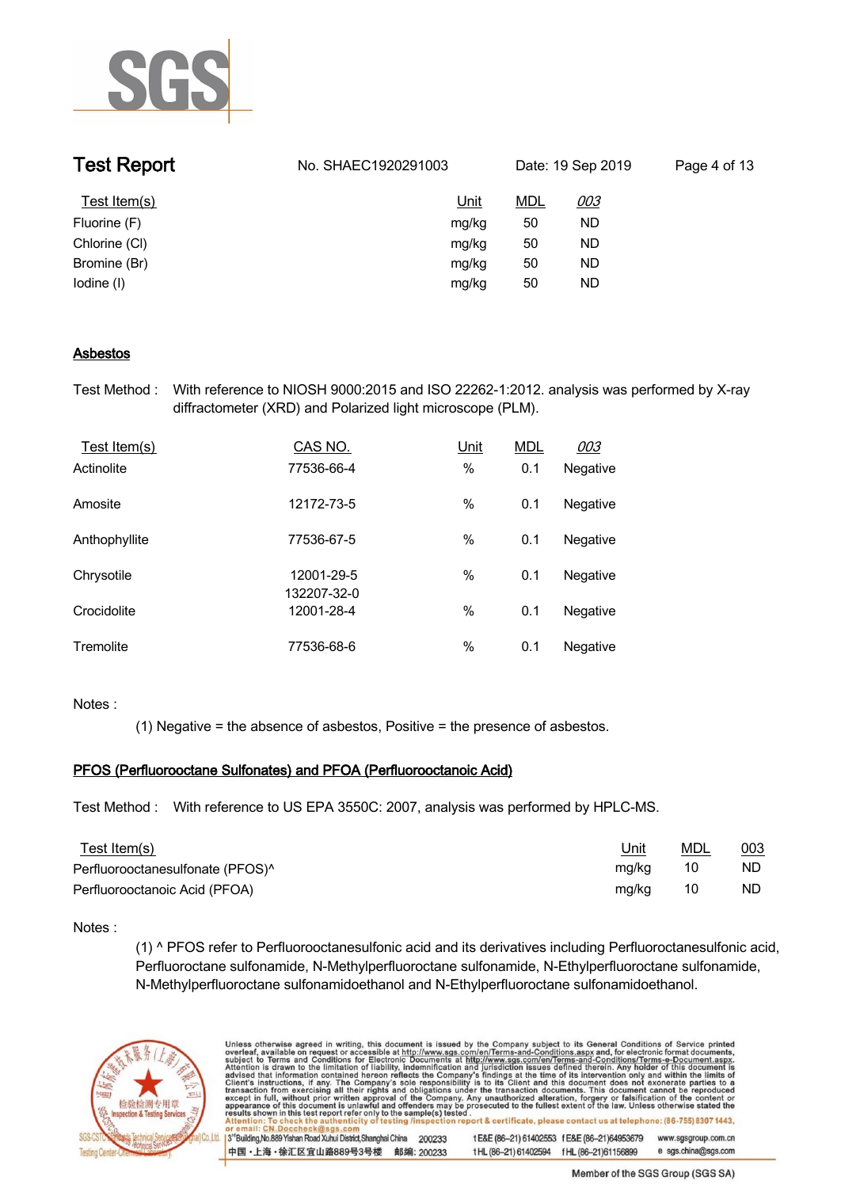

| <b>Test Report</b> | No. SHAEC1920291003 | Date: 19 Sep 2019 |            | Page 4 of 13 |
|--------------------|---------------------|-------------------|------------|--------------|
| Test Item(s)       | <u>Unit</u>         | <u>MDL</u>        | <u>003</u> |              |
| Fluorine (F)       | mg/kg               | 50                | ND         |              |
| Chlorine (CI)      | mg/kg               | 50                | ND         |              |
| Bromine (Br)       | mg/kg               | 50                | ND         |              |
| lodine (I)         | mg/kg               | 50                | ND         |              |

### **Asbestos.**

**Test Method :. With reference to NIOSH 9000:2015 and ISO 22262-1:2012. analysis was performed by X-ray diffractometer (XRD) and Polarized light microscope (PLM). .**

| Test Item(s)  | CAS NO.                   | Unit | <b>MDL</b> | 003      |  |
|---------------|---------------------------|------|------------|----------|--|
| Actinolite    | 77536-66-4                | $\%$ | 0.1        | Negative |  |
| Amosite       | 12172-73-5                | $\%$ | 0.1        | Negative |  |
| Anthophyllite | 77536-67-5                | $\%$ | 0.1        | Negative |  |
| Chrysotile    | 12001-29-5<br>132207-32-0 | $\%$ | 0.1        | Negative |  |
| Crocidolite   | 12001-28-4                | $\%$ | 0.1        | Negative |  |
| Tremolite     | 77536-68-6                | %    | 0.1        | Negative |  |

### **Notes :.**

**(1) Negative = the absence of asbestos, Positive = the presence of asbestos. .**

### **PFOS (Perfluorooctane Sulfonates) and PFOA (Perfluorooctanoic Acid).**

**Test Method :. With reference to US EPA 3550C: 2007, analysis was performed by HPLC-MS. .**

| <u>Test Item(s)</u>              | <u>Unit</u> | <u>MDL</u> | 003 |
|----------------------------------|-------------|------------|-----|
| Perfluorooctanesulfonate (PFOS)^ | mg/kg       | 10         | ND. |
| Perfluorooctanoic Acid (PFOA)    | mg/kg       | 10         | ND. |

### **Notes :.**

**(1) ^ PFOS refer to Perfluorooctanesulfonic acid and its derivatives including Perfluoroctanesulfonic acid, Perfluoroctane sulfonamide, N-Methylperfluoroctane sulfonamide, N-Ethylperfluoroctane sulfonamide, N-Methylperfluoroctane sulfonamidoethanol and N-Ethylperfluoroctane sulfonamidoethanol. .**



Unless otherwise agreed in writing, this document is issued by the Company subject to its General Conditions of Service printed overleaf, available on request or accessible at http://www.sgs.com/en/Terms-and-Conditions.asp ion report & certificate, please contact us at telephone: (86-755) 8307 1443, testing /insp 3<sup>rd</sup>Building, No.889 Yishan Road Xuhui District, Shanghai China 200233 t E&E (86-21) 61402553 f E&E (86-21)64953679 www.sgsgroup.com.cn 中国·上海·徐汇区宜山路889号3号楼 邮编: 200233 t HL (86-21) 61402594 f HL (86-21) 61156899 e sgs.china@sgs.com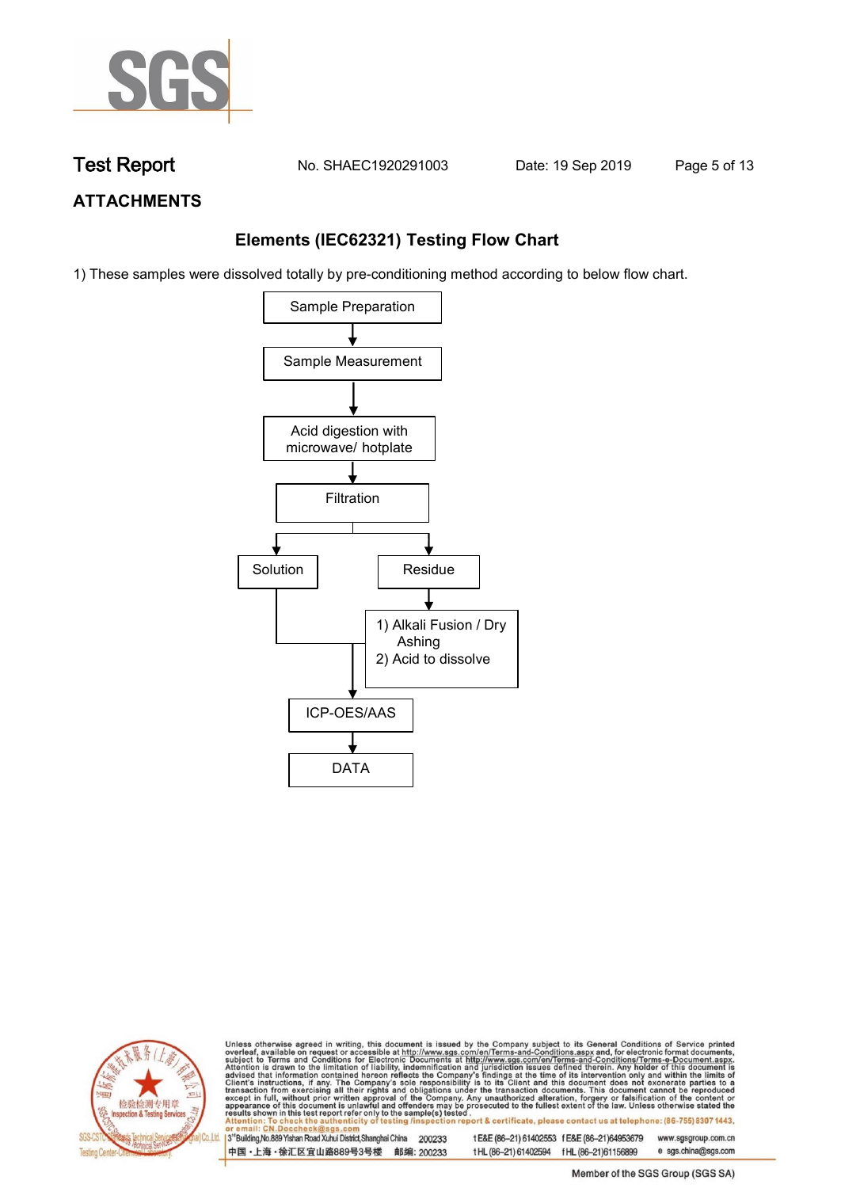

**Test Report. No. SHAEC1920291003 Date: 19 Sep 2019. Page 5 of 13.**

## **ATTACHMENTS**

## **Elements (IEC62321) Testing Flow Chart**

1) These samples were dissolved totally by pre-conditioning method according to below flow chart.





Unless otherwise agreed in writing, this document is issued by the Company subject to its General Conditions of Service printed overleaf, available on request or accessible at http://www.sgs.com/en/Terms-and-Conditions.asp tion report & certificate, please contact us at telephone: (86-755) 8307 1443, city o testing /insp

3<sup>rd</sup>Building, No.889 Yishan Road Xuhui District, Shanghai China 200233 中国·上海·徐汇区宜山路889号3号楼 邮编: 200233

t E&E (86-21) 61402553 f E&E (86-21)64953679 www.sgsgroup.com.cn t HL (86-21) 61402594 f HL (86-21) 61156899 e sgs.china@sgs.com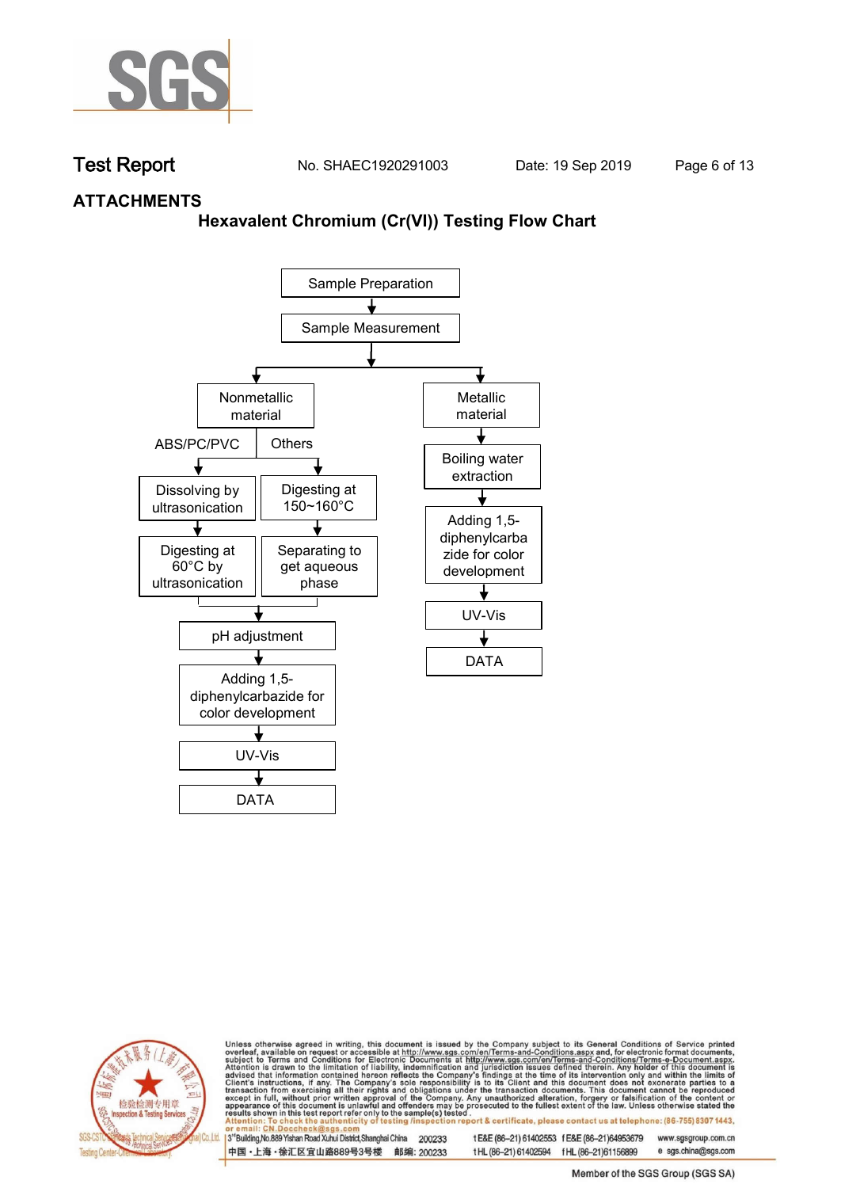

**Test Report. No. SHAEC1920291003 Date: 19 Sep 2019. Page 6 of 13.**

### **ATTACHMENTS**

### **Hexavalent Chromium (Cr(VI)) Testing Flow Chart**





Unless otherwise agreed in writing, this document is issued by the Company subject to its General Conditions of Service printed overleaf, available on request or accessible at http://www.sgs.com/en/Terms-and-Conditions.asp ion report & certificate, please contact us at telephone: (86-755) 8307 1443, testing /insp

3<sup>rd</sup>Building, No.889 Yishan Road Xuhui District, Shanghai China 200233 中国·上海·徐汇区宜山路889号3号楼 邮编: 200233 t E&E (86-21) 61402553 f E&E (86-21)64953679 www.sgsgroup.com.cn t HL (86-21) 61402594 f HL (86-21)61156899 e sgs.china@sgs.com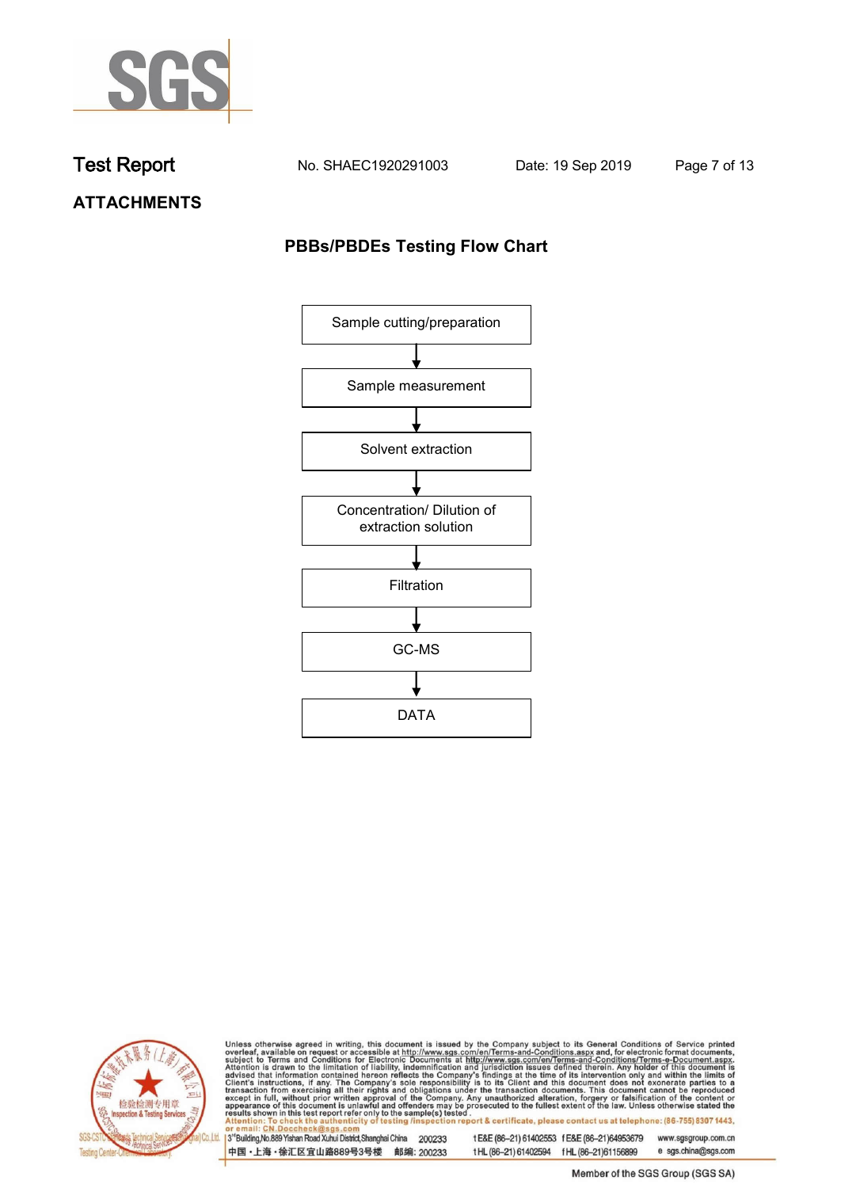

**Test Report. No. SHAEC1920291003 Date: 19 Sep 2019. Page 7 of 13.**

# **ATTACHMENTS**

## **PBBs/PBDEs Testing Flow Chart**





Unless otherwise agreed in writing, this document is issued by the Company subject to its General Conditions of Service printed overleaf, available on request or accessible at http://www.sgs.com/en/Terms-and-Conditions.asp

3<sup>rd</sup>Building, No.889 Yishan Road Xuhui District, Shanghai China 200233 中国·上海·徐汇区宜山路889号3号楼 邮编: 200233 t E&E (86-21) 61402553 f E&E (86-21)64953679 www.sgsgroup.com.cn t HL (86-21) 61402594 f HL (86-21) 61156899 e sgs.china@sgs.com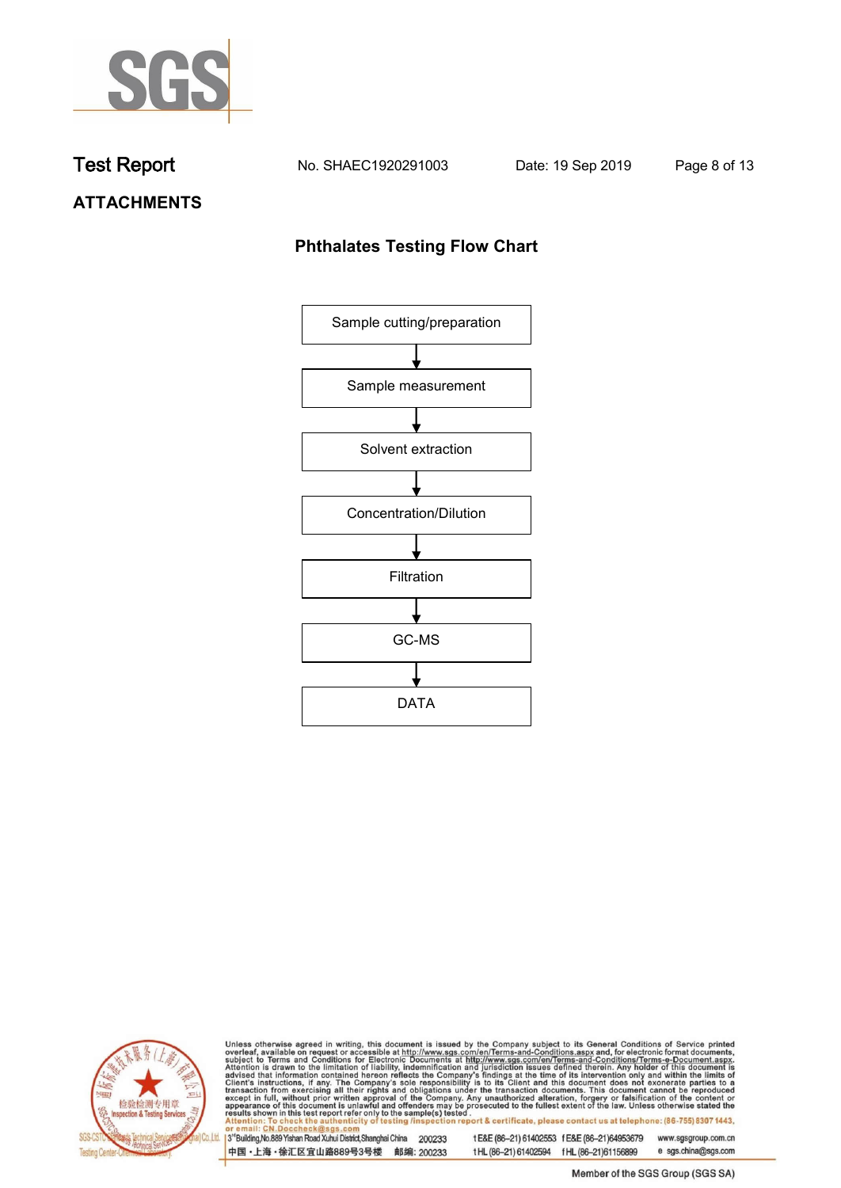

**Test Report. No. SHAEC1920291003 Date: 19 Sep 2019. Page 8 of 13.**

# **ATTACHMENTS**

# **Phthalates Testing Flow Chart**





Unless otherwise agreed in writing, this document is issued by the Company subject to its General Conditions of Service printed overleaf, available on request or accessible at http://www.sgs.com/en/Terms-and-Conditions.asp

3<sup>rd</sup>Building, No.889 Yishan Road Xuhui District, Shanghai China 200233 中国·上海·徐汇区宜山路889号3号楼 邮编: 200233 t E&E (86-21) 61402553 f E&E (86-21)64953679 www.sgsgroup.com.cn t HL (86-21) 61402594 f HL (86-21) 61156899 e sgs.china@sgs.com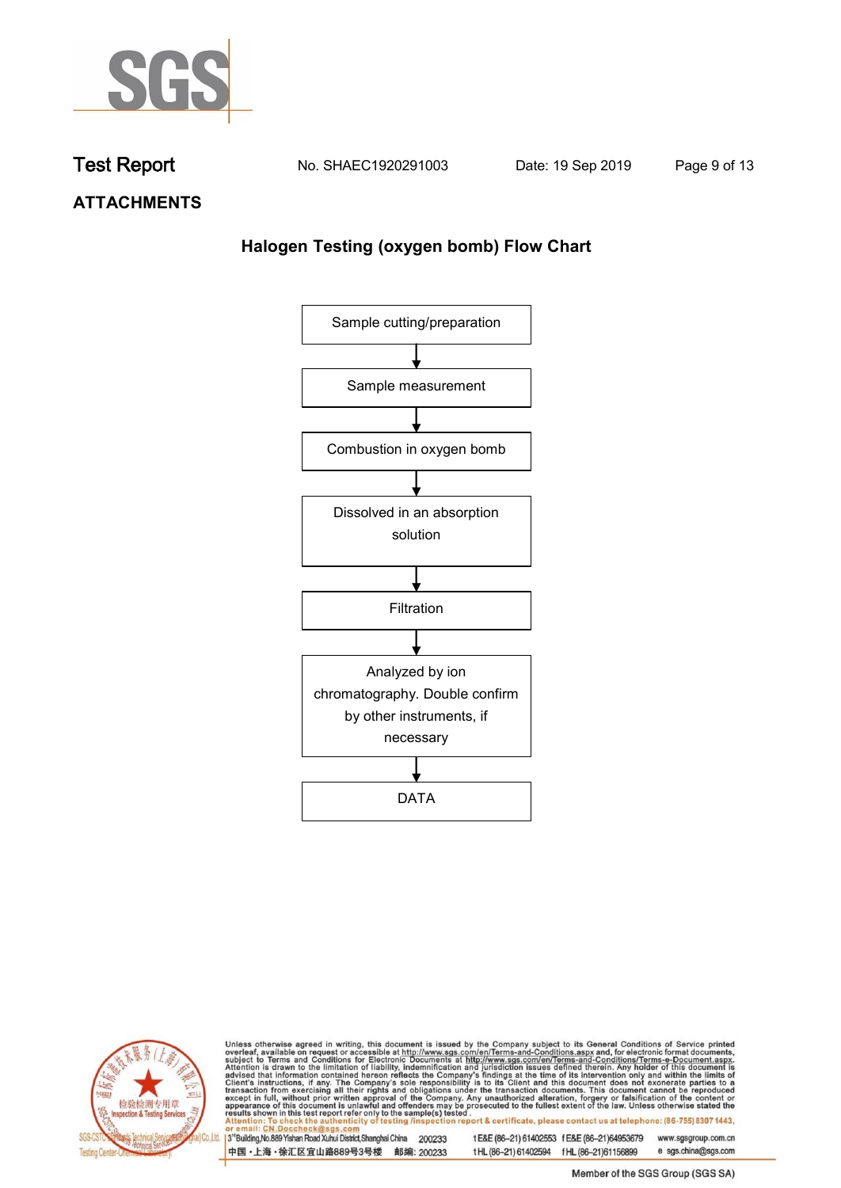

**Test Report. No. SHAEC1920291003 Date: 19 Sep 2019. Page 9 of 13.**

**ATTACHMENTS**

# **Halogen Testing (oxygen bomb) Flow Chart**





Unless otherwise agreed in writing, this document is issued by the Company subject to its General Conditions of Service printed overleaf, available on request or accessible at http://www.sgs.com/en/Terms-and-Conditions.asp

3<sup>rd</sup>Building, No.889 Yishan Road Xuhui District, Shanghai China 200233 中国·上海·徐汇区宜山路889号3号楼 邮编: 200233 t E&E (86-21) 61402553 f E&E (86-21)64953679 www.sgsgroup.com.cn

t HL (86-21) 61402594 f HL (86-21) 61156899 e sgs.china@sgs.com Member of the SGS Group (SGS SA)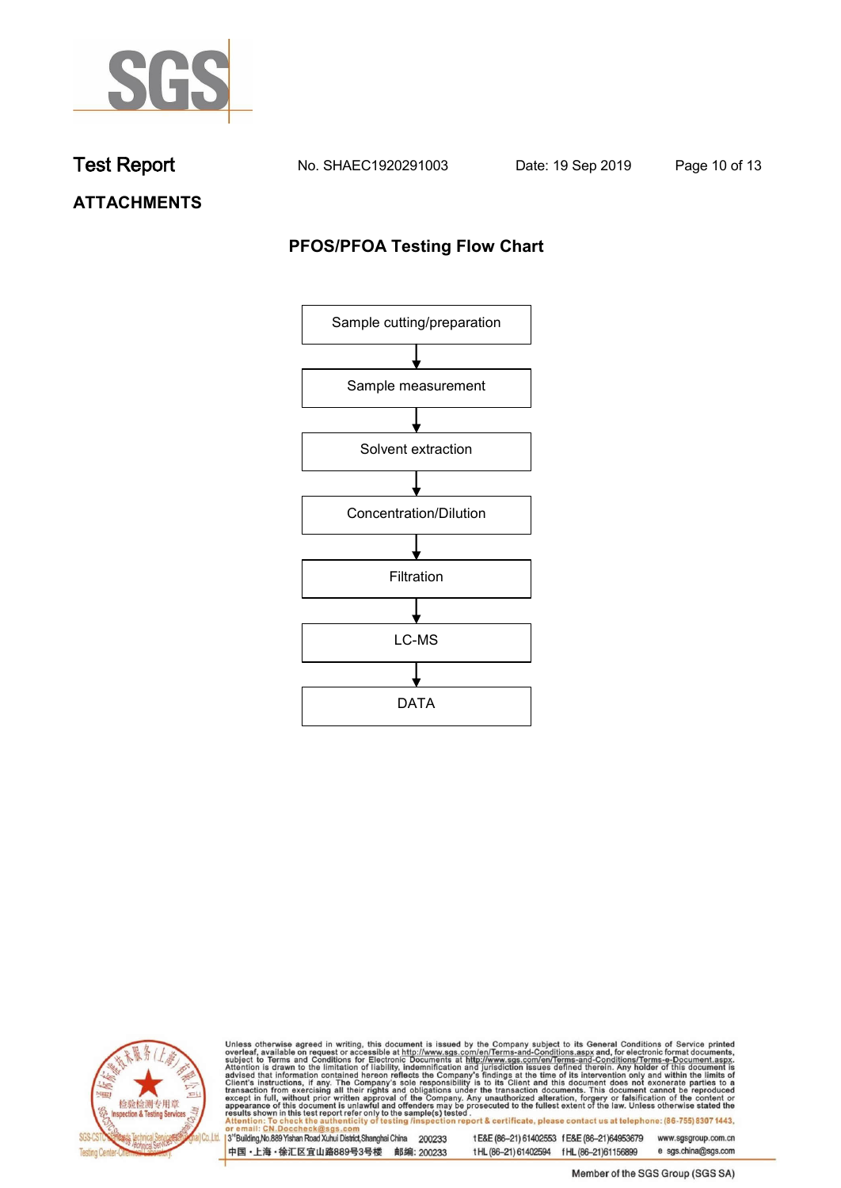

**Test Report. No. SHAEC1920291003 Date: 19 Sep 2019. Page 10 of 13.**

**ATTACHMENTS**

# **PFOS/PFOA Testing Flow Chart**





Unless otherwise agreed in writing, this document is issued by the Company subject to its General Conditions of Service printed overleaf, available on request or accessible at http://www.sgs.com/en/Terms-and-Conditions.asp

3<sup>rd</sup>Building, No.889 Yishan Road Xuhui District, Shanghai China 200233 中国·上海·徐汇区宜山路889号3号楼 邮编: 200233

t E&E (86-21) 61402553 f E&E (86-21)64953679 www.sgsgroup.com.cn t HL (86-21) 61402594 f HL (86-21) 61156899 e sgs.china@sgs.com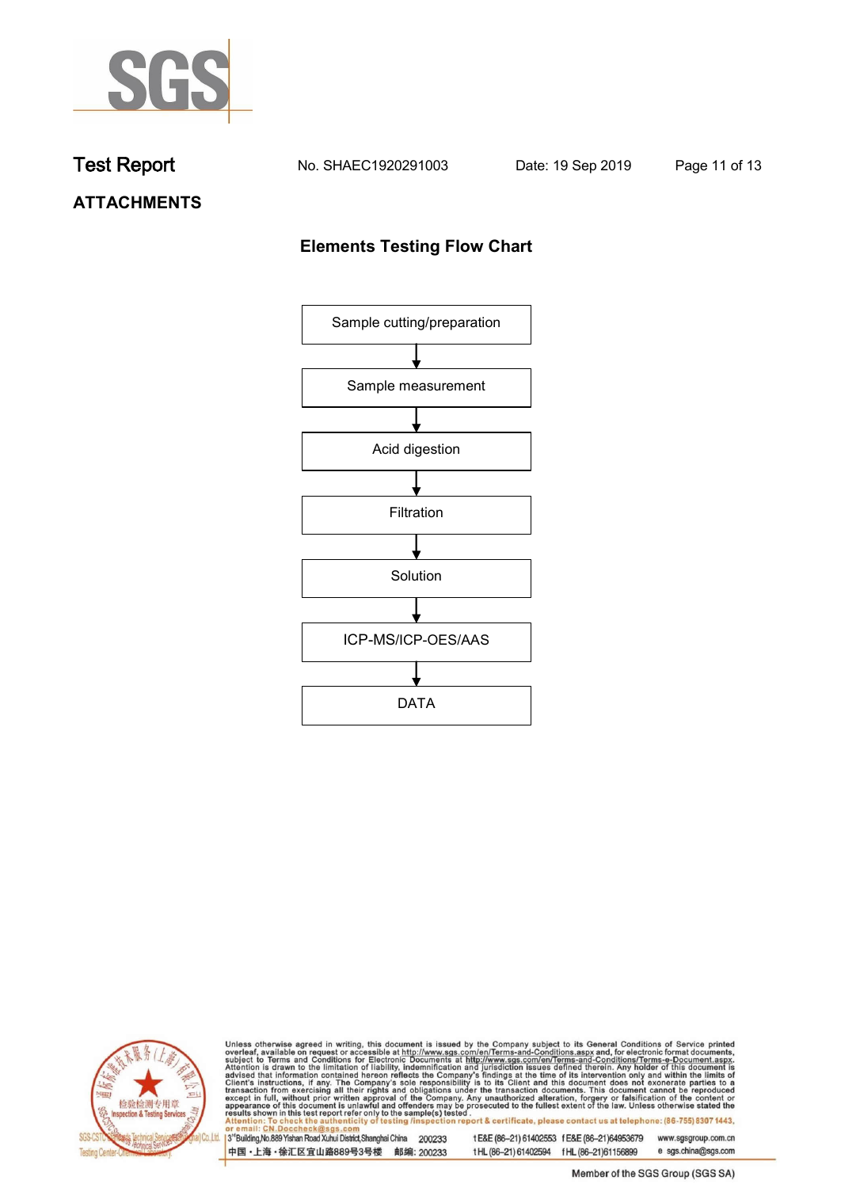

**Test Report. No. SHAEC1920291003 Date: 19 Sep 2019. Page 11 of 13.**

# **ATTACHMENTS**

# **Elements Testing Flow Chart**





Unless otherwise agreed in writing, this document is issued by the Company subject to its General Conditions of Service printed overleaf, available on request or accessible at http://www.sgs.com/en/Terms-and-Conditions.asp

3<sup>rd</sup>Building, No.889 Yishan Road Xuhui District, Shanghai China 200233 中国·上海·徐汇区宜山路889号3号楼 邮编: 200233

t E&E (86-21) 61402553 f E&E (86-21)64953679 www.sgsgroup.com.cn t HL (86-21) 61402594 f HL (86-21) 61156899 e sgs.china@sgs.com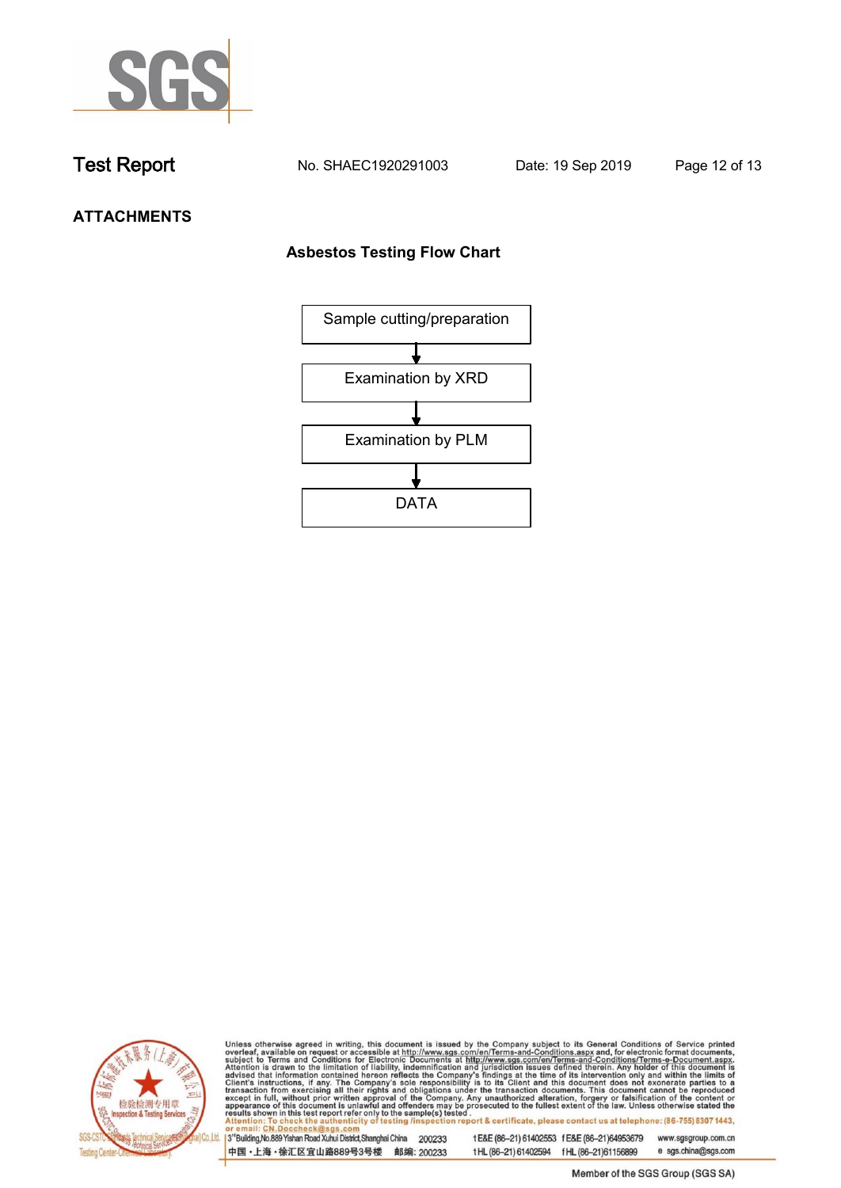

**Test Report. No. SHAEC1920291003 Date: 19 Sep 2019. Page 12 of 13.**

# **ATTACHMENTS**

### **Asbestos Testing Flow Chart**





Unless otherwise agreed in writing, this document is issued by the Company subject to its General Conditions of Service printed overleaf, available on request or accessible at http://www.sgs.com/en/Terms-and-Conditions.asp

3<sup>rd</sup>Building, No.889 Yishan Road Xuhui District, Shanghai China 200233 中国·上海·徐汇区宜山路889号3号楼 邮编: 200233 t E&E (86-21) 61402553 f E&E (86-21)64953679 www.sgsgroup.com.cn t HL (86-21) 61402594 f HL (86-21) 61156899 e sgs.china@sgs.com